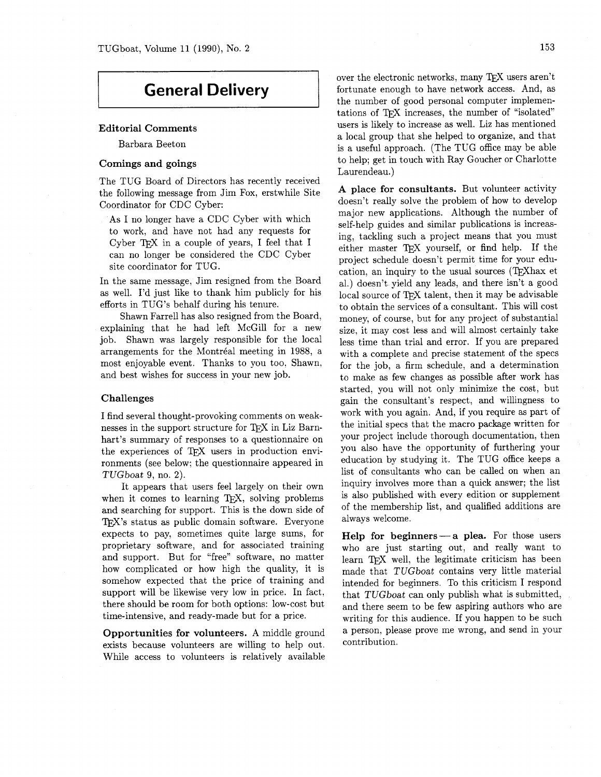# **General Delivery**

# **Editorial Comments**

Barbara Beeton

# **Comings and goings**

The TUG Board of Directors has recently received the following message from Jim Fox, erstwhile Site Coordinator for CDC Cyber:

As I no longer have a CDC Cyber with which to work, and have not had any requests for Cyber TFX in a couple of years, I feel that I can no longer be considered the CDC Cyber site coordinator for TUG.

In the same message, Jim resigned from the Board as well. I'd just like to thank him publicly for his efforts in TUG'S behalf during his tenure.

Shawn Farrell has also resigned from the Board, explaining that he had left McGill for a new job. Shawn was largely responsible for the local arrangements for the Montréal meeting in 1988, a most enjoyable event. Thanks to you too. Shawn, and best wishes for success in your new job.

#### **Challenges**

I find several thought-provoking comments on weaknesses in the support structure for TFX in Liz Barnhart's summary of responses to a questionnaire on the experiences of TEX users in production environments (see below; the questionnaire appeared in TUGboat 9, no. 2).

It appears that users feel largely on their own when it comes to learning  $TrX$ , solving problems and searching for support. This is the down side of TFX's status as public domain software. Everyone expects to pay, sometimes quite large sums, for proprietary software, and for associated training and support. But for "free" software, no matter how complicated or how high the quality, it is somehow expected that the price of training and support will be likewise very low in price. In fact, there should be room for both options: low-cost but time-intensive, and ready-made but for a price.

**Opportunities for volunteers.** A middle ground exists because volunteers are willing to help out. While access to volunteers is relatively available over the electronic networks, many TEX users aren't fortunate enough to have network access. And, as the number of good personal computer implementations of TFX increases, the number of "isolated" users is likely to increase as well. Liz has mentioned a local group that she helped to organize, and that is a useful approach. (The TUG office may be able to help; get in touch with Ray Goucher or Charlotte Laurendeau.)

**A place for consultants.** But volunteer activity doesn't really solve the problem of how to develop major new applications. Although the number of self-help guides and similar publications is increasing, tackling such a project means that you must either master TEX yourself, or find help. If the project schedule doesn't permit time for your education, an inquiry to the usual sources (TFXhax et al.) doesn't yield any leads, and there isn't a good local source of TFX talent, then it may be advisable to obtain the services of a consultant. This will cost money, of course, but for any project of substantial size, it may cost less and will almost certainly take less time than trial and error. If you are prepared with a complete and precise statement of the specs for the job, a firm schedule, and a determination to make as few changes as possible after work has started, you will not only minimize the cost, but gain the consultant's respect, and willingness to work with you again. And, if you require as part of the initial specs that the macro package written for your project include thorough documentation, then you also have the opportunity of furthering your education by studying it. The TUG office keeps a list of consultants who can be called on when an inquiry involves more than a quick answer; the list is also published with every edition or supplement of the membership list, and qualified additions are always welcome.

**Help for beginners** — a plea. For those users who are just starting out, and really want to learn TFX well, the legitimate criticism has been made that TUGboat contains very little material intended for beginners. To this criticism I respond that TUGboat can only publish what is submitted, and there seem to be few aspiring authors who are writing for this audience. If you happen to be such a person, please prove me wrong, and send in your contribution.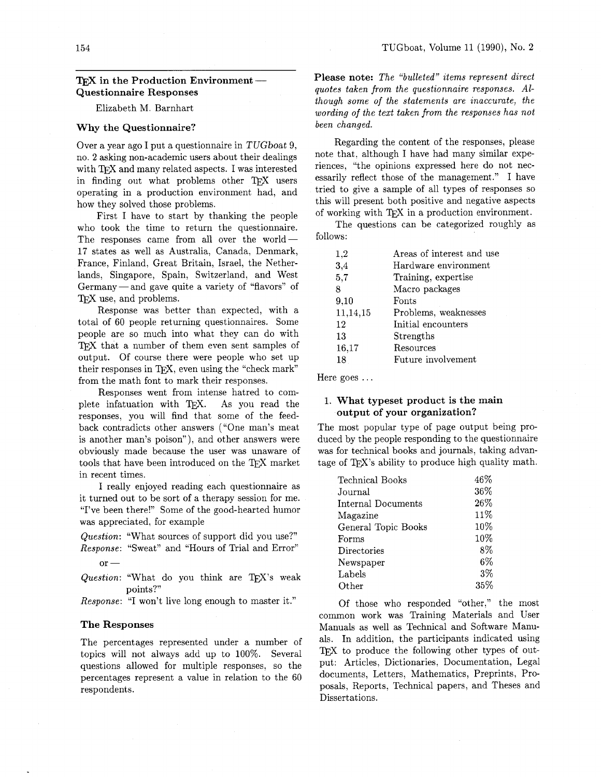# **IFX** in the Production Environment — **Questionnaire Responses**

#### Elizabeth M. Barnhart

#### **Why the Questionnaire?**

Over a year ago I put a questionnaire in TUGboat 9, no. **2** asking non-academic users about their dealings with TFX and many related aspects. I was interested in finding out what problems other TFX users operating in a production environment had, and how they solved those problems.

First I have to start by thanking the people who took the time to return the questionnaire. The responses came from all over the world $-$ 17 states as well as Australia, Canada, Denmark, France, Finland, Great Britain, Israel, the Netherlands, Singapore, Spain, Switzerland, and West Germany — and gave quite a variety of "flavors" of TFX use, and problems.

Response was better than expected, with a total of 60 people returning questionnaires. Some people are so much into what they can do with TFX that a number of them even sent samples of output. Of course there were people who set up their responses in TFX, even using the "check mark" from the math font to mark their responses.

Responses went from intense hatred to complete infatuation with QX. As you read the responses, you will find that some of the feedback contradicts other answers ("One man's meat is another man's poison"), and other answers were obviously made because the user was unaware of tools that have been introduced on the TFX market in recent times.

I really enjoyed reading each questionnaire as it turned out to be sort of a therapy session for me. "I've been there!" Some of the good-hearted humor was appreciated, for example

*Question:* "What sources of support did you use?" Response: "Sweat" and "Hours of Trial and Error" or —

*Question:* "What do you think are TFX's weak points?"

*Response: "I* won't live long enough to master it."

#### **The Responses**

The percentages represented under a number of topics will not always add up to 100%. Several questions allowed for multiple responses, so the percentages represent a value in relation to the 60 respondents.

**Please note:** *The "bulleted" items represent direct quotes taken from the questionnaire responses. Although some of the statements are inaccurate, the wording of the text taken from the responses has not been changed.* 

Regarding the content of the responses, please note that, although I have had many similar experiences, "the opinions expressed here do not necessarily reflect those of the management." I have tried to give a sample of all types of responses so this will present both positive and negative aspects of working with QX in a production environment.

The questions can be categorized roughly as follows:

| 1,2      | Areas of interest and use |
|----------|---------------------------|
| 3,4      | Hardware environment      |
| 5,7      | Training, expertise       |
| 8        | Macro packages            |
| 9,10     | Fonts                     |
| 11,14,15 | Problems, weaknesses      |
| 12       | Initial encounters        |
| 13       | Strengths                 |
| 16,17    | Resources                 |
| 18       | Future involvement        |

Here goes ...

# 1. **What typeset product is the main output of your organization?**

The most popular type of page output being produced by the people responding to the questionnaire was for technical books and journals, taking advantage of QX's ability to produce high quality math.

| Technical Books     | 46%   |
|---------------------|-------|
| Journal             | 36%   |
| Internal Documents  | 26%   |
| Magazine            | 11%   |
| General Topic Books | 10%   |
| Forms               | 10%   |
| Directories         | 8%    |
| Newspaper           | $6\%$ |
| Labels              | 3%    |
| $\rm Other$         | 35%   |

Of those who responded "other," the most common work was Training Materials and User Manuals as well as Technical and Software Manuals. In addition, the participants indicated using TFX to produce the following other types of output: Articles, Dictionaries, Documentation, Legal documents, Letters, Mathematics, Preprints, Proposals, Reports, Technical papers, and Theses and Dissertations.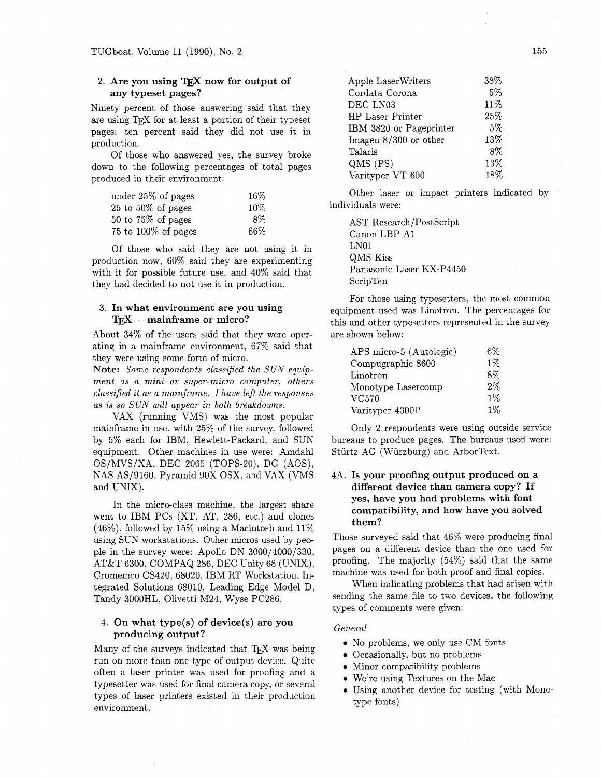# 2. Are you using TEX now for output of **any typeset pages?**

Ninety percent of those answering said that they are using TFX for at least a portion of their typeset pages; ten percent said they did not use it in production.

Of those who answered yes, the survey broke down to the following percentages of total pages produced in their environment:

| under 25% of pages      | 16% |
|-------------------------|-----|
| $25$ to $50\%$ of pages | 10% |
| $50$ to $75\%$ of pages | 8%  |
| 75 to $100\%$ of pages  | 66% |

Of those who said they are not using it in production now, 60% said they are experimenting with it for possible future use, and 40% said that they had decided to not use it in production.

# 3. **In what environment are you using**  - **mainframe or micro?**

About 34% of the users said that they were operating in a mainframe environment, 67% said that they were using some form of micro.

**Note:** *Some respondents classified the SUN equipment as a mini or super-micro computer, others classified it as a mainframe. I have left the responses as is so SUN will appear in both breakdowns.* 

VAX (running VMS) was the most popular mainframe in use, with 25% of the survey, followed by 5% each for IBM, Hewlett-Packard, and SUN equipment. Other machines in use were: Amdahl OS/MVS/XA, DEC 2065 (TOPS-20), DG (AOS), NAS AS/9160, Pyramid 90X OSX, and VAX (VMS and UNIX).

In the micro-class machine, the largest share went to IBM PCs (XT, AT, 286, etc.) and clones  $(46\%)$ , followed by 15% using a Macintosh and 11% using SUN workstations. Other micros used by people in the survey were: Apollo DN 3000/4000/330, AT&T 6300, COMPAQ 286, DEC Unity 68 (UNIX), Cromemco CS420, 68020, IBM RT Workstation, Integrated Solutions 68010, Leading Edge Model D, Tandy 3000HL, Olivetti M24, Wyse PC286.

# 4. **On what type(s) of device(s) are you producing output?**

Many of the surveys indicated that TFX was being run on more than one type of output device. Quite often a laser printer was used for proofing and a typesetter was used for final camera copy, or several types of laser printers existed in their production environment.

| Apple LaserWriters      | 38% |
|-------------------------|-----|
| Cordata Corona          | 5%  |
| DEC LN03                | 11% |
| <b>HP Laser Printer</b> | 25% |
| IBM 3820 or Pageprinter | 5%  |
| Imagen 8/300 or other   | 13% |
| Talaris                 | 8%  |
| $QMS$ (PS)              | 13% |
| Varityper VT 600        | 18% |
|                         |     |

Other laser or impact printers indicated by individuals were:

AST Research/PostScript Canon LBP A1 LNOl QMS Kiss Panasonic Laser KX-P4450 ScripTen

For those using typesetters, the most common equipment used was Linotron. The percentages for this and other typesetters represented in the survey are shown below:

| APS micro-5 (Autologic) | 6%    |
|-------------------------|-------|
| Compugraphic 8600       | $1\%$ |
| Linotron                | $8\%$ |
| Monotype Lasercomp      | $2\%$ |
| VC570                   | $1\%$ |
| Varityper 4300P         | $1\%$ |

Only 2 respondents were using outside service bureaus to produce pages. The bureaus used were: Stiirtz AG (Wiirzburg) and ArborText.

# 4A. **Is your proofing output produced on a different device than camera copy? If yes, have you had problems with font compatibility, and how have you solved them?**

Those surveyed said that 46% were producing final pages on a different device than the one used for proofing. The majority (54%) said that the same machine was used for both proof and final copies.

When indicating problems that had arisen with sending the same file to two devices, the following types of comments were given:

#### *General*

- **0** No problems, we only use CM fonts
- 0 Occasionally, but no problems
- **<sup>0</sup>**Minor compatibility problems
- We're using Textures on the Mac
- 0 Using another device for testing (with Monotype fonts)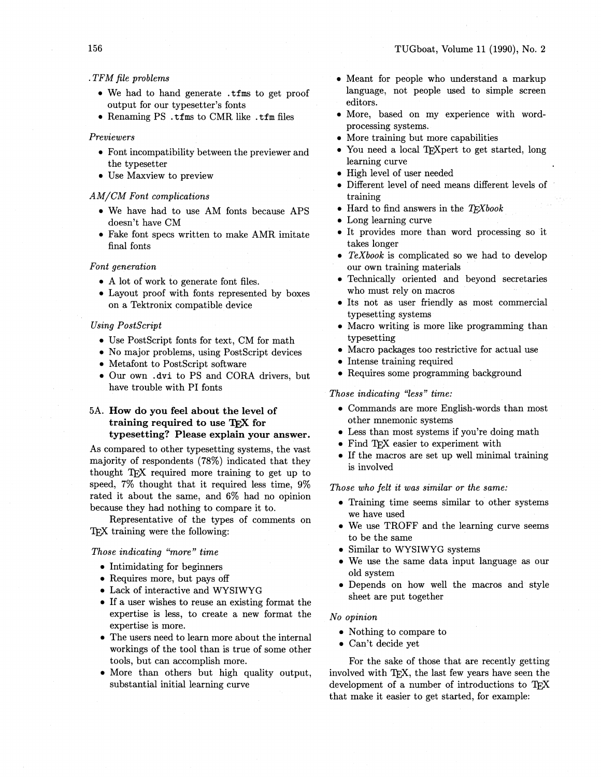# .TFM file problems

- We had to hand generate .tfms to get proof output for our typesetter's fonts
- Renaming PS .tfms to CMR like .tfm files

#### Previewers

- Font incompatibility between the previewer and the typesetter
- Use Maxview to preview

#### AM/CM Font complications

- . We have had to use AM fonts because APS doesn't have CM
- Fake font specs written to make AMR imitate final fonts

#### Font generation

- A lot of work to generate font files.
- Layout proof with fonts represented by boxes on a Tektronix compatible device

#### **Using PostScript**

- Use PostScript fonts for text, CM for math
- No major problems, using PostScript devices
- Metafont to PostScript software
- Our own .dvi to PS and CORA drivers, but have trouble with PI fonts

# 5A. How do you feel about the level of training required to use TFX for typesetting? Please explain your answer.

As compared to other typesetting systems, the vast majority of respondents (78%) indicated that they thought T<sub>F</sub>X required more training to get up to speed,  $7\%$  thought that it required less time,  $9\%$ rated it about the same, and 6% had no opinion because they had nothing to compare it to.

Representative of the types of comments on TFX training were the following:

#### Those indicating "more" time

- Intimidating for beginners
- Requires more, but pays off
- Lack of interactive and WYSIWYG
- If a user wishes to reuse an existing format the expertise is less, to create a new format the expertise is more.
- The users need to learn more about the internal workings of the tool than is true of some other tools, but can accomplish more.
- More than others but high quality output. substantial initial learning curve
- Meant for people who understand a markup language, not people used to simple screen editors.
- More, based on my experience with wordprocessing systems.
- More training but more capabilities
- You need a local TFXpert to get started, long learning curve
- High level of user needed
- Different level of need means different levels of training
- $\bullet$  Hard to find answers in the TFXbook
- Long learning curve
- It provides more than word processing so it takes longer
- $\bullet$  TeXbook is complicated so we had to develop our own training materials
- Technically oriented and beyond secretaries who must rely on macros
- · Its not as user friendly as most commercial typesetting systems
- Macro writing is more like programming than typesetting
- Macro packages too restrictive for actual use
- Intense training required
- Requires some programming background

#### Those indicating "less" time:

- Commands are more English-words than most other mnemonic systems
- Less than most systems if you're doing math
- Find TFX easier to experiment with
- If the macros are set up well minimal training is involved

Those who felt it was similar or the same:

- Training time seems similar to other systems we have used
- We use TROFF and the learning curve seems to be the same
- Similar to WYSIWYG systems
- We use the same data input language as our old system
- Depends on how well the macros and style sheet are put together

#### No opinion

- Nothing to compare to
- Can't decide yet

For the sake of those that are recently getting involved with TFX, the last few years have seen the development of a number of introductions to TFX that make it easier to get started, for example: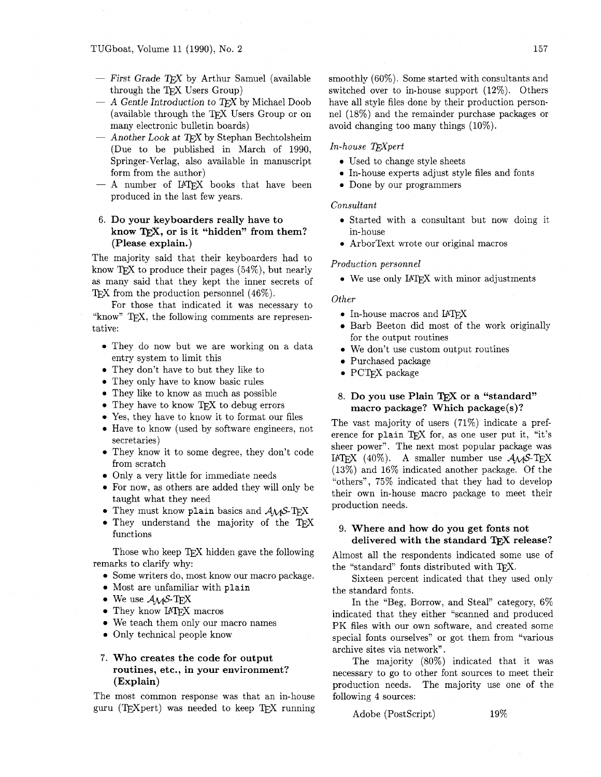- $-$  First Grade TFX by Arthur Samuel (available through the TFX Users Group)
- $-$  A Gentle Introduction to *TEX* by Michael Doob (available through the TFX Users Group or on many electronic bulletin boards)
- $-$  Another Look at TFX by Stephan Bechtolsheim (Due to be published in March of 1990, Springer-Verlag, also available in manuscript form from the author)
- $-$  A number of IATFX books that have been produced in the last few years.

# **Do your keyboarders really have to know TEX, or is it "hidden" from them? (Please explain.)**

The majority said that their keyboarders had to know TFX to produce their pages  $(54\%)$ , but nearly as many said that they kept the inner secrets of TFX from the production personnel  $(46\%)$ .

For those that indicated it was necessary to "know"  $Tr X$ , the following comments are representative:

- **0** They do now but we are working on a data entry system to limit this
- They don't have to but they like to
- They only have to know basic rules
- **<sup>0</sup>**They like to know as much as possible
- They have to know TEX to debug errors
- Yes, they have to know it to format our files
- **<sup>0</sup>**Have to know (used by software engineers, not secretaries)
- **0** They know it to some degree, they don't code from scratch
- Only a very little for immediate needs
- For now, as others are added they will only be taught what they need
- They must know plain basics and  $A\mathcal{M}S$ -TFX
- They understand the majority of the TFX functions

Those who keep TFX hidden gave the following remarks to clarify why:

- **0** Some writers do, most know our macro package.
- **0** Most are unfamiliar with **plain**
- We use  $A_{\mathcal{M}}S$ -TEX
- They know IATFX macros
- We teach them only our macro names
- **0** Only technical people know

# **7. Who creates the code for output routines, etc., in your environment? (Explain)**

The most common response was that an in-house guru (TEXpert) was needed to keep TFX running smoothly (60%). Some started with consultants and switched over to in-house support (12%). Others have all style files done by their production personnel (18%) and the remainder purchase packages or avoid changing too many things (10%).

### *In-house TFXpert*

- **0** Used to change style sheets
- **0** In-house experts adjust style files and fonts
- **0** Done by our programmers

#### *Consultant*

- **<sup>0</sup>**Started with a consultant but now doing it in-house
- **0** ArborText wrote our original macros

#### *Production personnel*

• We use only IAT<sub>F</sub>X with minor adjustments

# *Other*

- In-house macros and IAT<sub>F</sub>X
- Barb Beeton did most of the work originally for the output routines
- **0** We don't use custom output routines
- Purchased package
- **0** PCT<sub>F</sub>X package

# 8. Do you use Plain T<sub>F</sub>X or a "standard" **macro package? Which package(s)?**

The vast majority of users (71%) indicate a preference for plain TFX for, as one user put it, "it's sheer power". The next most popular package was IATEX (40%). A smaller number use  $A_{\mathcal{M}}S$ -TEX (13%) and 16% indicated another package. Of the "others", 75% indicated that they had to develop their own in-house macro package to meet their production needs.

# 9. **Where and how do you get fonts not**  delivered with the standard T<sub>E</sub>X release?

Almost all the respondents indicated some use of the "standard" fonts distributed with T<sub>F</sub>X.

Sixteen percent indicated that they used only the standard fonts.

In the "Beg, Borrow, and Steal" category, 6% indicated that they either "scanned and produced PK files with our own software, and created some special fonts ourselves" or got them from "various archive sites via network".

The majority (80%) indicated that it was necessary to go to other font sources to meet their production needs. The majority use one of the following 4 sources:

Adobe (PostScript) 19%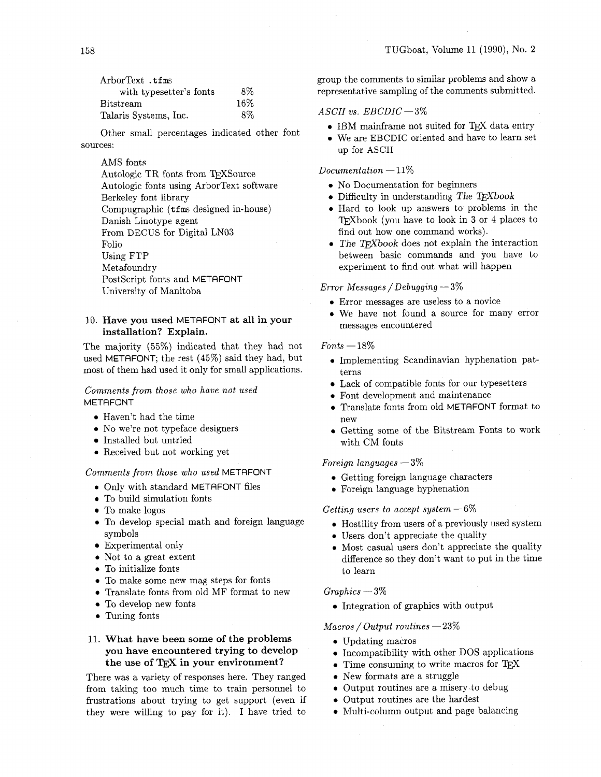| ArborText .tfms          |        | group the comments to sim  |  |
|--------------------------|--------|----------------------------|--|
| with type setter's fonts | 8%     | representative sampling of |  |
| $\rm B$ it $\rm stream$  | $16\%$ |                            |  |
| Talaris Systems, Inc.    | 8%     | ASCII vs. $EBCDIC - 3\%$   |  |

Other small percentages indicated other font sources:

## AMS fonts

Autologic TR fonts from TEXSource Autologic fonts using ArborText software Berkeley font library Compugraphic (tfms designed in-house) Danish Linotype agent From DECUS for Digital LN03 Folio Using FTP Met afoundry PostScript fonts and METAFONT University of Manitoba

# **10. Have you used** METRFONT **at all in your installation? Explain.**

The majority (55%) indicated that they had not used METAFONT; the rest (45%) said they had, but most of them had used it only for small applications.

# *Comments from those who have not used*  METAFONT

- **<sup>0</sup>**Haven't had the time
- No we're not typeface designers
- $\bullet\,$  Installed but untried
- **<sup>0</sup>**Received but not working yet

## *Comments from those who used* METAFONT

- *0* Only with standard METAFONT files
- To build simulation fonts
- To make logos
- 0 To develop special math and foreign language symbols
- Experimental only
- **0** Not to a great extent
- **0** To initialize fonts
- 0 To make some new mag steps for fonts
- 0 Translate fonts from old MF format to new
- 0 To develop new fonts
- **0** Tuning fonts

# **11. What have been some of the problems you have encountered trying to develop the use of in your environment?**

There was a variety of responses here. They ranged from taking too much time to train personnel to frustrations about trying to get support (even if they were willing to pay for it). I have tried to group the comments to similar problems and show a representative sampling of the comments submitted.

- IBM mainframe not suited for TFX data entry
- 0 We are EBCDIC oriented and have to learn set up for ASCII

#### $Documentation - 11\%$

- 0 No Documentation for beginners
- **0** Difficulty in understanding *The TEXbook*
- 0 Hard to look up answers to problems in the TEXbook (you have to look in 3 or 4 places to find out how one command works).
- The TFXbook does not explain the interaction between basic commands and you have to experiment to find out what will happen

## *Error Messages* / *Debugging* - **3%**

- 0 Error messages are useless to a novice
- 0 We have not found a source for many error messages encountered

# $Fonts - 18\%$

- 0 Implementing Scandinavian hyphenation patterns
- Lack of compatible fonts for our typesetters
- **<sup>0</sup>**Font development and maintenance
- **0** Translate fonts from old METAFONT format to new
- **0** Getting some of the Bitstream Fonts to work with CM fonts

#### *Foreign languages* - 3%

- 0 Getting foreign language characters
- 0 Foreign language hyphenation

#### *Getting users to accept system -6%*

- 0 Hostility from users of a previously used system
- 0 Users don't appreciate the quality
- 0 Most casual users don't appreciate the quality difference so they don't want to put in the time to learn

#### $Graphics - 3\%$

0 Integration of graphics with output

## *Macros* / *Output routines* - 23%

- Updating macros
- 0 Incompatibility with other DOS applications
- $\bullet$  Time consuming to write macros for TEX
- 0 New formats are a struggle
- 0 Output routines are a misery ,to debug
- 0 Output routines are the hardest
- 0 Multi-column output and page balancing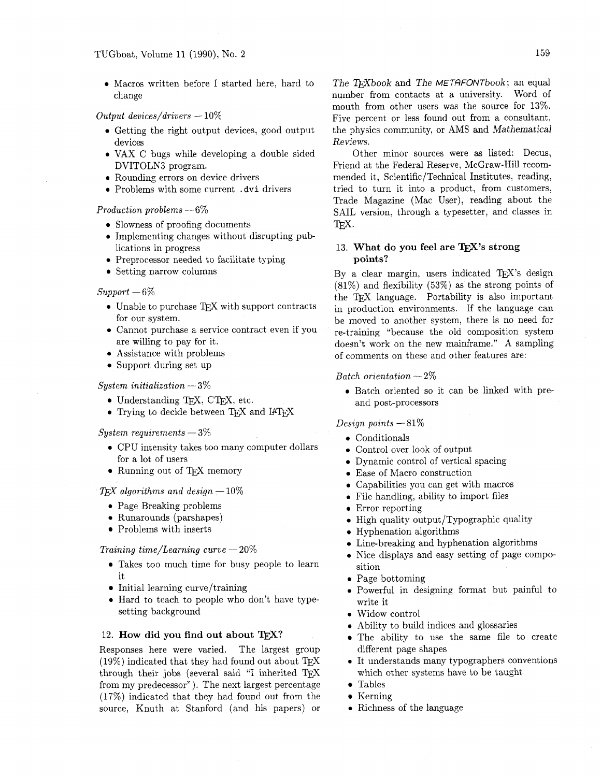**0** Macros written before I started here, hard to change

# *Output devices/drivers* - 10%

- **<sup>0</sup>**Getting the right output devices, good output devices
- **0** VAX C bugs while developing a double sided DVITOLN3 program.
- **<sup>0</sup>**Rounding errors on device drivers
- **<sup>0</sup>**Problems with some current . dvi drivers

#### *Production problems* - 6%

- Slowness of proofing documents
- **0** Implementing changes without disrupting publications in progress
- **0** Preprocessor needed to facilitate typing
- Setting narrow columns

#### $Support-6\%$

- $\bullet$  Unable to purchase TEX with support contracts for our system.
- Cannot purchase a service contract even if you are willing to pay for it.
- Assistance with problems
- Support during set up

# *System initialization* - 3%

- $\bullet$  Understanding T<sub>F</sub>X, CT<sub>F</sub>X, etc.
- Trying to decide between TFX and I4TFX

#### *System requirements* - 3%

- **0** CPU intensity takes too many computer dollars for a lot of users
- Running out of TFX memory

## $T_{E}X$  *algorithms and design*  $-10\%$

- **0** Page Breaking problems
- **0** Runarounds (parshapes)
- Problems with inserts

#### *Training time/Learning curve*  $-20\%$

- Takes too much time for busy people to learn it
- Initial learning curve/training
- **0** Hard to teach to people who don't have typesetting background

12. **How did you find out about T<sub>E</sub>X?**<br>Responses here were varied. The largest group Responses here were varied.  $(19\%)$  indicated that they had found out about TFX through their jobs (several said "I inherited  $T_F X$ from my predecessor"). The next largest percentage (17%) indicated that they had found out from the source, Knuth at Stanford (and his papers) or

The TrXbook and The METAFONTbook; an equal number from contacts at a university. Word of mouth from other users was the source for 13%. Five percent or less found out from a consultant, the physics community, or AMS and Mathematical Reviews.

Other minor sources were as listed: Decus, Friend at the Federal Reserve, McGraw-Hill recommended it, Scientific/Technical Institutes, reading, tried to turn it into a product, from customers, Trade Magazine (Mac User), reading about the SAIL version, through a typesetter, and classes in TFX.

# 13. What do you feel are T<sub>E</sub>X's strong **points?**

By a clear margin, users indicated TEX's design (81%) and flexibility (53%) as the strong points of the T<sub>F</sub>X language. Portability is also important in production environments. If the language can be moved to another system, there is no need for re-training "because the old composition system doesn't work on the new mainframe." A sampling of comments on these and other features are:

#### *Batch orientation* - 2%

**0** Batch oriented so it can be linked with preand post-processors

#### *Design points* -81%

- Conditionals
- Control over look of output
- Dynamic control of vertical spacing
- Ease of Macro construction
- Capabilities you can get with macros
- File handling, ability to import files
- Error reporting
- High quality output/Typographic quality
- Hyphenation algorithms
- Line-breaking and hyphenation algorithms
- Nice displays and easy setting of page composition
- Page bottoming
- **<sup>0</sup>**Powerful in designing format but painful to write it
- Widow control
- **0** Ability to build indices and glossaries
- The ability to use the same file to create different page shapes
- **<sup>0</sup>**It understands many typographers conventions which other systems have to be taught
- Tables
- Kerning
- **0** Richness of the language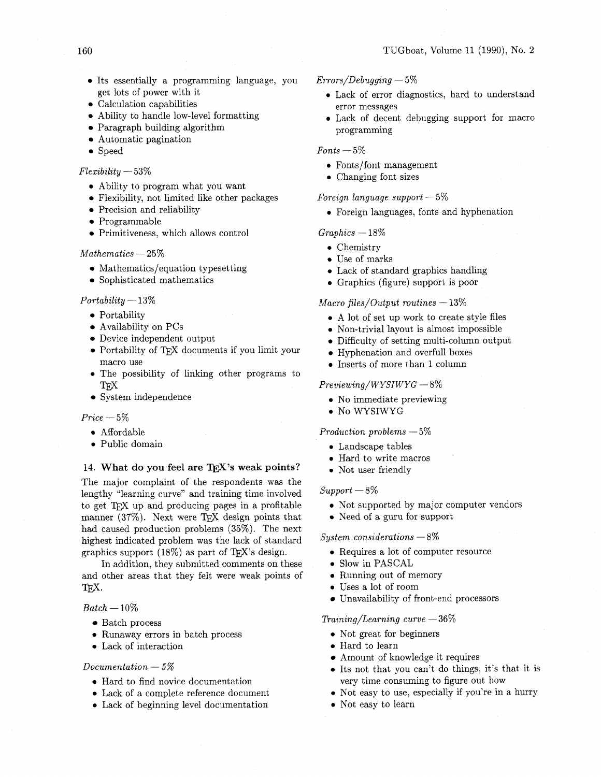- **0** Its essentially a programming language, you get lots of power with it
- Calculation capabilities
- Ability to handle low-level formatting
- Paragraph building algorithm
- Automatic pagination
- Speed

#### *Flexibility* - **53%**

- **0** Ability to program what you want
- Flexibility, not limited like other packages
- Precision and reliability
- Programmable
- Primitiveness, which allows control

#### $Mathematics - 25%$

- Mathematics/equation typesetting
- Sophisticated mathematics

#### $Portability-13%$

- Portability
- Availability on PCs
- Device independent output
- $\bullet$  Portability of TFX documents if you limit your macro use
- **0** The possibility of linking other programs to TFX
- System independence

#### $Price - 5\%$

- **0** Affordable
- **0** Public domain

# 14. What do you feel are TFX's weak points?

The major complaint of the respondents was the lengthy "learning curve" and training time involved to get TEX up and producing pages in a profitable manner  $(37\%)$ . Next were TFX design points that had caused production problems **(35%).** The next highest indicated problem was the lack of standard graphics support  $(18\%)$  as part of T<sub>FX</sub>'s design.

In addition, they submitted comments on these and other areas that they felt were weak points of IEX.  $T_{\rm E}$ X.<br>*Batch* —  $10\%$ 

- Batch process
- **0** Runaway errors in batch process
- **0** Lack of interaction

#### *Documentation* - *5%*

- **0** Hard to find novice documentation
- **0** Lack of a complete reference document
- **0** Lack of beginning level documentation
- *Errors/Debugging*  **5%** 
	- **0** Lack of error diagnostics, hard to understand error messages
	- **0** Lack of decent debugging support for macro programming

 $Fonts - 5\%$ 

- Fonts/font management
- **0** Changing font sizes

#### *Foreign language support* - **5%**

**<sup>0</sup>**Foreign languages, fonts and hyphenation

#### $Graphics - 18\%$

- **0** Chemistry
- **a** Use of marks
- **0** Lack of standard graphics handling
- **<sup>0</sup>**Graphics (figure) support is poor

#### *Macro files/Output routines*  $-13\%$

- **0** A lot of set up work to create style files
- **0** Non-trivial layout is almost impossible
- Difficulty of setting multi-column output
- Hyphenation and overfull boxes
- **<sup>0</sup>**Inserts of more than **1** column

#### $Previewing/WYSIWYG-8\%$

- **0** No immediate previewing
- **0** No WYSIWYG

## *Production problems* - **5%**

- **0** Landscape tables
- **0** Hard to write macros
- **0** Not user friendly

#### $Support-8\%$

- **0** Not supported by major computer vendors
- **0** Need of a guru for support

#### *System considerations* - *8%*

- **0** Requires a lot of computer resource
- **0** Slow in PASCAL
- **0** Running out of memory
- **<sup>0</sup>**Uses a lot of room
- Unavailability of front-end processors

#### *Training/Learning curve* - **36%**

- **0** Not great for beginners
- **0** Hard to learn
- Amount of knowledge it requires
- **0** Its not that you can't do things, it's that it is very time consuming to figure out how
- **0** Not easy to use, especially if you're in a hurry
- **0** Not easy to learn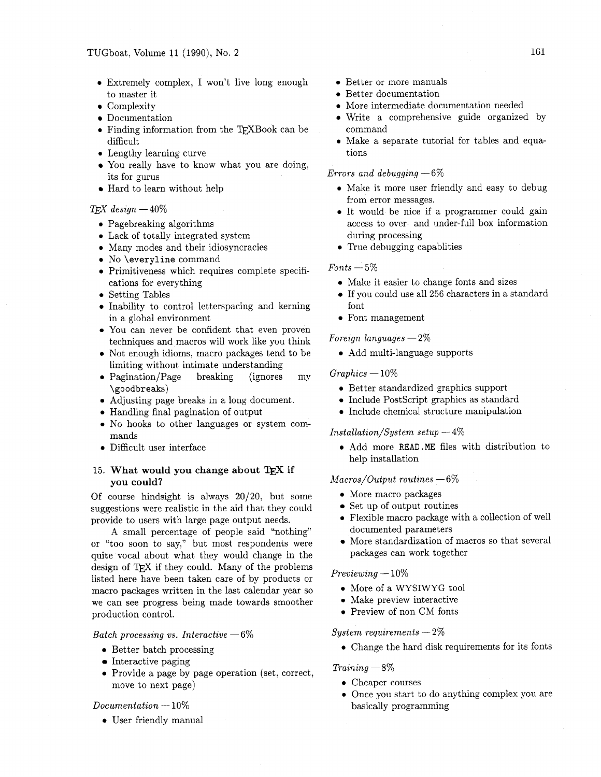- 0 Extremely complex, I won't live long enough to master it
- Complexity
- Documentation
- Finding information from the T<sub>F</sub>XBook can be difficult
- **<sup>0</sup>**Lengthy learning curve
- You really have to know what you are doing, its for gurus
- $\bullet$  Hard to learn without help

# *QjX design* -40%

- Pagebreaking algorithms
- Lack of totally integrated system
- Many modes and their idiosyncracies
- No \everyline command
- Primitiveness which requires complete specifications for everything
- Setting Tables
- Inability to control letterspacing and kerning in a global environment
- You can never be confident that even proven techniques and macros will work like you think
- Not enough idioms, macro packages tend to be limiting without intimate understanding
- Pagination/Page breaking (ignores my \goodbreaks)
- Adjusting page breaks in a long document.
- Handling final pagination of output
- No hooks to other languages or system commands
- Difficult user interface

# 15. What would you change about TEX if **you could?**

Of course hindsight is always  $20/20$ , but some suggestions were realistic in the aid that they could provide to users with large page output needs.

A small percentage of people said "nothing" or "too soon to say," but most respondents were quite vocal about what they would change in the design of TFX if they could. Many of the problems listed here have been taken care of by products or macro packages written in the last calendar year so we can see progress being made towards smoother production control.

#### *Batch processing vs. Interactive* - *6%*

- **0** Better batch processing
- $\bullet$  Interactive paging
- 0 Provide a page by page operation (set, correct, move to next page)

#### *Documentation* - 10%

**0** User friendly manual

- Better or more manuals
- Better documentation
- More intermediate documentation needed
- Write a comprehensive guide organized by command
- Make a separate tutorial for tables and equations

#### *Errors and debugging* - *6%*

- **0** Make it more user friendly and easy to debug from error messages.
- 0 It would be nice if a programmer could gain access to over- and under-full box information during processing
- **0** True debugging capablities

## $Fonts - 5\%$

- 0 Make it easier to change fonts and sizes
- If you could use all 256 characters in a standard font
- 0 Font management

#### *Foreign languages*  $-2\%$

0 Add multi-language supports

#### $Graphics - 10\%$

- 0 Better standardized graphics support
- 0 Include Postscript graphics as standard
- 0 Include chemical structure manipulation

#### *Installation/System setup*  $-4\%$

0 Add more **READ.ME** files with distribution to help installation

#### *Macros/Output routines*  $-6\%$

- 0 More macro packages
- Set up of output routines
- 0 Flexible macro package with a collection of well documented parameters
- More standardization of macros so that several packages can work together

#### *Previewing* - 10%

- 0 More of a WYSIWYG tool
- 0 Make preview interactive
- 0 Preview of non CM fonts

#### *System requirements* - 2%

0 Change the hard disk requirements for its fonts

# *Training* - *8%*

- **<sup>0</sup>**Cheaper courses
- Once you start to do anything complex you are basically programming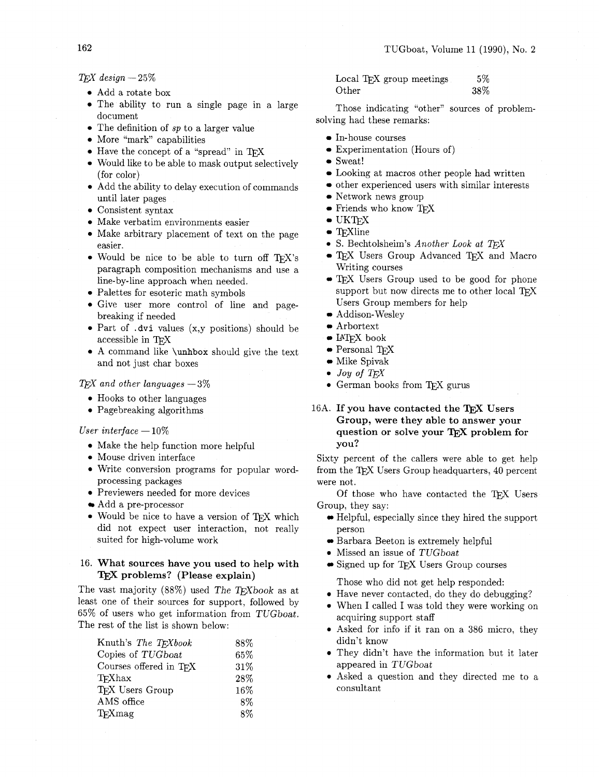$TrX$  *design*  $- 25\%$ 

- Add a rotate box
- The ability to run a single page in a large document
- The definition of *sp* to a larger value
- More "mark" capabilities
- Have the concept of a "spread" in *QX*
- Would like to be able to mask output selectively (for color)
- Add the ability to delay execution of commands until later pages
- Consistent syntax
- Make verbatim environments easier
- Make arbitrary placement of text on the page easier.
- Would be nice to be able to turn off TFX's paragraph composition mechanisms and use a line-by-line approach when needed.
- Palettes for esoteric math symbols
- Give user more control of line and pagebreaking if needed
- Part of **.dvi** values (x,y positions) should be accessible in TFX
- A command like **\unhbox** should give the text and not just char boxes

## *QjX and other languages* - 3%

- 0 Hooks to other languages
- 0 Pagebreaking algorithms

#### *User interface*  $-10\%$

- 0 Make the help function more helpful
- **0** Mouse driven interface
- 0 Write conversion programs for popular wordprocessing packages
- **Previewers needed for more devices**
- Add a pre-processor
- 0 Would be nice to have a version of *QX* which did not expect user interaction, not really suited for high-volume work

# 16. **What sources have you used to help with**  TEX problems? (Please explain)

The vast majority  $(88\%)$  used The T<sub>F</sub>Xbook as at least one of their sources for support, followed by 65% of users who get information from TUGboat. The rest of the list is shown below:

| Knuth's The TFXbook    | 88%    |
|------------------------|--------|
| Copies of TUGboat      | 65%    |
| Courses offered in TFX | 31%    |
| T <sub>F</sub> Xhax    | 28\%   |
| TFX Users Group        | $16\%$ |
| AMS office             | 8%     |
| TFXmag                 | 8%     |

Local T<sub>F</sub>X group meetings 5% Other 38%

Those indicating "other" sources of problemsolving had these remarks:

- In-house courses
- Experimentation (Hours of)
- Sweat!
- Looking at macros other people had written
- other experienced users with similar interests
- Network news group
- Friends who know *QX*
- $\bullet$  UKTFX
- $\bullet$  T<sub>E</sub>Xline
- **0** S. Bechtolsheim's *Another Look at TFX*
- *QX* Users Group Advanced *QX* and Macro Writing courses
- T<sub>EX</sub> Users Group used to be good for phone support but now directs me to other local *QX*  Users Group members for help
- Addison- Wesley
- Arbortext
- $\bullet$  IAT<sub>F</sub>X book
- Personal *QX*
- Mike Spivak
- $\bullet$  *Joy of TFX*
- **German books from TFX gurus**
- 16A. If you have contacted the T<sub>F</sub>X Users **Group, were they able to answer your**  question or solve your T<sub>F</sub>X problem for **you?**

Sixty percent of the callers were able to get help from the T<sub>E</sub>X Users Group headquarters, 40 percent were not.

Of those who have contacted the TEX Users Group, they say:

- Helpful, especially since they hired the support person
- Barbara Beeton is extremely helpful
- **0** Missed an issue of TUGboat
- Signed up for *QX* Users Group courses

Those who did not get help responded:

- **0** Have never contacted, do they do debugging?
- When I called I was told they were working on acquiring support staff
- **0** Asked for info if it ran on a 386 micro, they didn't know
- They didn't have the information but it later appeared in TUGboat
- 0 Asked a question and they directed me to a consultant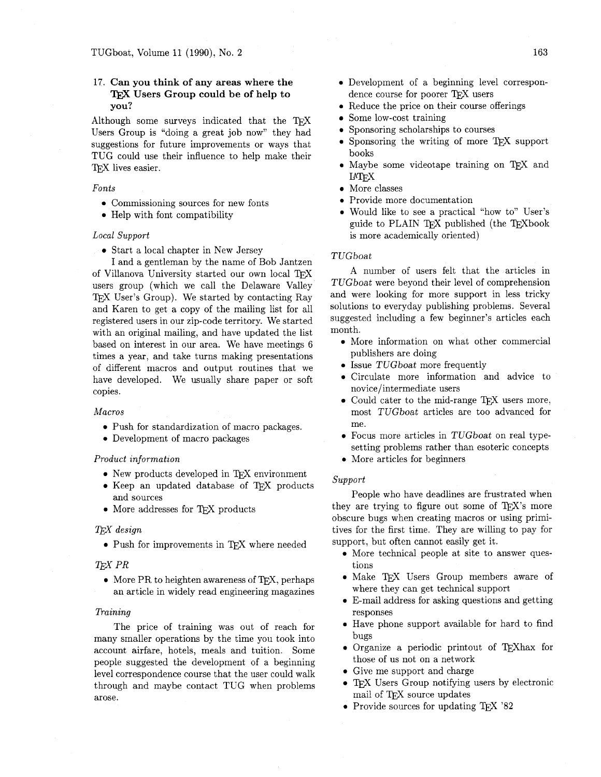# 17. **Can you think of any areas where the**  l'@ **Users Group could be of help to you?**

Although some surveys indicated that the  $T_F X$ Users Group is "doing a great job now" they had suggestions for future improvements or ways that TUG could use their influence to help make their TEX lives easier.

#### *Fonts*

- **0** Commissioning sources for new fonts
- Help with font compatibility

#### *Local Support*

Start a local chapter in New Jersey

I and a gentleman by the name of Bob Jantzen of Villanova University started our own local TFX users group (which we call the Delaware Valley TEX User's Group). We started by contacting Ray and Karen to get a copy of the mailing list for all registered users in our zip-code territory. We started with an original mailing, and have updated the list based on interest in our area. We have meetings 6 times a year, and take turns making presentations of different macros and output routines that we have developed. We usually share paper or soft copies.

#### *Macros*

- **0** Push for standardization of macro packages.
- **0** Development of macro packages

#### *Product information*

- $\bullet$  New products developed in TFX environment
- Keep an updated database of TEX products and sources
- More addresses for TFX products

#### *T&X design*

• Push for improvements in TEX where needed

#### **TFX PR**

• More PR to heighten awareness of T<sub>F</sub>X, perhaps an article in widely read engineering magazines

#### *Training*

The price of training was out of reach for many smaller operations by the time you took into account airfare, hotels, meals and tuition. Some people suggested the development of a beginning level correspondence course that the user could walk through and maybe contact TUG when problems arose.

- Reduce the price on their course offerings
- Some low-cost training
- Sponsoring scholarships to courses
- Sponsoring the writing of more T<sub>E</sub>X support books
- Maybe some videotape training on TFX and **IATEX**
- More classes
- **0** Provide more documentation
- **0** Would like to see a practical "how to" User's guide to PLAIN TFX published (the TFXbook is more academically oriented)

#### TUGboat

A number of users felt that the articles in TUGboat were beyond their level of comprehension and were looking for more support in less tricky solutions to everyday publishing problems. Several suggested including a few beginner's articles each month.

- More information on what other commercial publishers are doing
- **0** Issue TUGboat more frequently
- **<sup>0</sup>**Circulate more information and advice to novice/intermediate users
- $\bullet$  Could cater to the mid-range T<sub>E</sub>X users more, most TUGboat articles are too advanced for me.
- Focus more articles in TUGboat on real typesetting problems rather than esoteric concepts
- More articles for beginners

#### *Support*

People who have deadlines are frustrated when they are trying to figure out some of  $T_F X$ 's more obscure bugs when creating macros or using primitives for the first time. They are willing to pay for support, but often cannot easily get it.

- **0** More technical people at site to answer questions
- **0** Make TE,X Users Group members aware of where they can get technical support
- **0** E-mail address for asking questions and getting responses
- Have phone support available for hard to find bugs
- Organize a periodic printout of T<sub>F</sub>Xhax for those of us not on a network
- **0** Give me support and charge
- TFX Users Group notifying users by electronic mail of TEX source updates
- **0** Provide sources for updating TEX '82